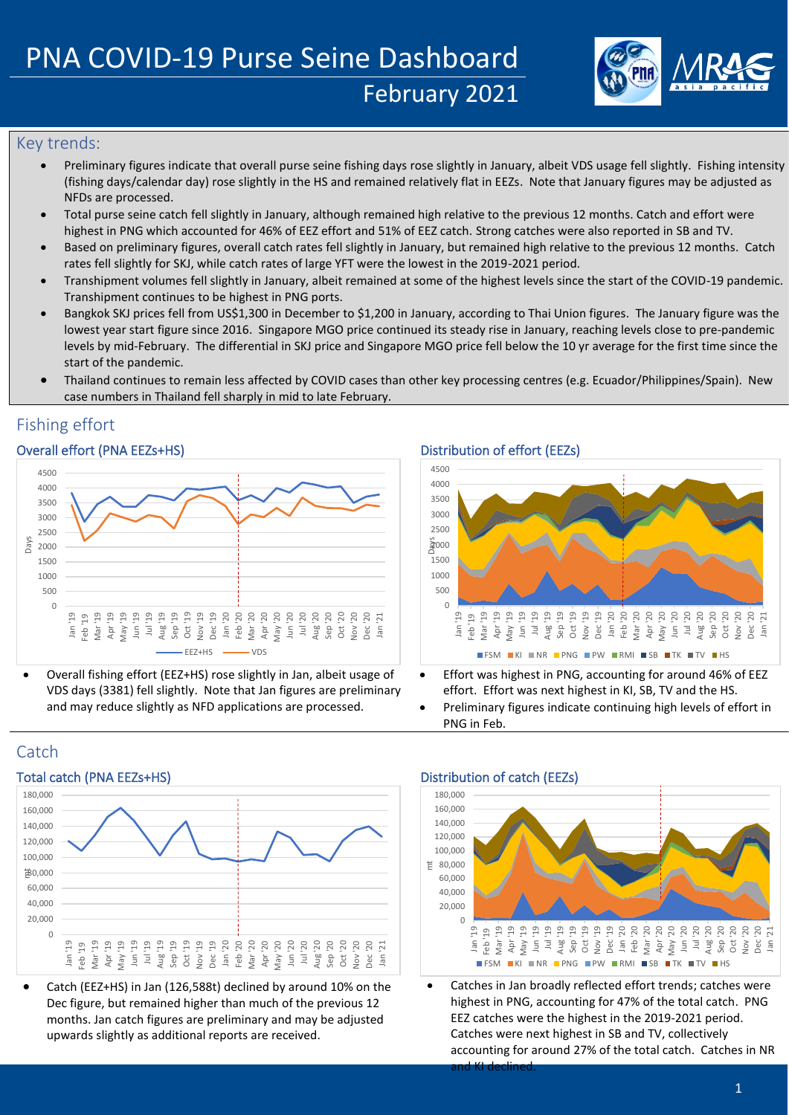

## Key trends:

- Preliminary figures indicate that overall purse seine fishing days rose slightly in January, albeit VDS usage fell slightly. Fishing intensity (fishing days/calendar day) rose slightly in the HS and remained relatively flat in EEZs. Note that January figures may be adjusted as NFDs are processed.
- Total purse seine catch fell slightly in January, although remained high relative to the previous 12 months. Catch and effort were highest in PNG which accounted for 46% of EEZ effort and 51% of EEZ catch. Strong catches were also reported in SB and TV.
- Based on preliminary figures, overall catch rates fell slightly in January, but remained high relative to the previous 12 months. Catch rates fell slightly for SKJ, while catch rates of large YFT were the lowest in the 2019-2021 period.
- Transhipment volumes fell slightly in January, albeit remained at some of the highest levels since the start of the COVID-19 pandemic. Transhipment continues to be highest in PNG ports.
- Bangkok SKJ prices fell from US\$1,300 in December to \$1,200 in January, according to Thai Union figures. The January figure was the lowest year start figure since 2016. Singapore MGO price continued its steady rise in January, reaching levels close to pre-pandemic levels by mid-February. The differential in SKJ price and Singapore MGO price fell below the 10 yr average for the first time since the start of the pandemic.
- Thailand continues to remain less affected by COVID cases than other key processing centres (e.g. Ecuador/Philippines/Spain). New case numbers in Thailand fell sharply in mid to late February.

## Fishing effort

## Overall effort (PNA EEZs+HS) Distribution of effort (EEZs)



• Overall fishing effort (EEZ+HS) rose slightly in Jan, albeit usage of VDS days (3381) fell slightly. Note that Jan figures are preliminary and may reduce slightly as NFD applications are processed.



- Effort was highest in PNG, accounting for around 46% of EEZ effort. Effort was next highest in KI, SB, TV and the HS.
- Preliminary figures indicate continuing high levels of effort in PNG in Feb.





• Catch (EEZ+HS) in Jan (126,588t) declined by around 10% on the Dec figure, but remained higher than much of the previous 12 months. Jan catch figures are preliminary and may be adjusted upwards slightly as additional reports are received.



Catches in Jan broadly reflected effort trends; catches were highest in PNG, accounting for 47% of the total catch. PNG EEZ catches were the highest in the 2019-2021 period. Catches were next highest in SB and TV, collectively accounting for around 27% of the total catch. Catches in NR and KI declined.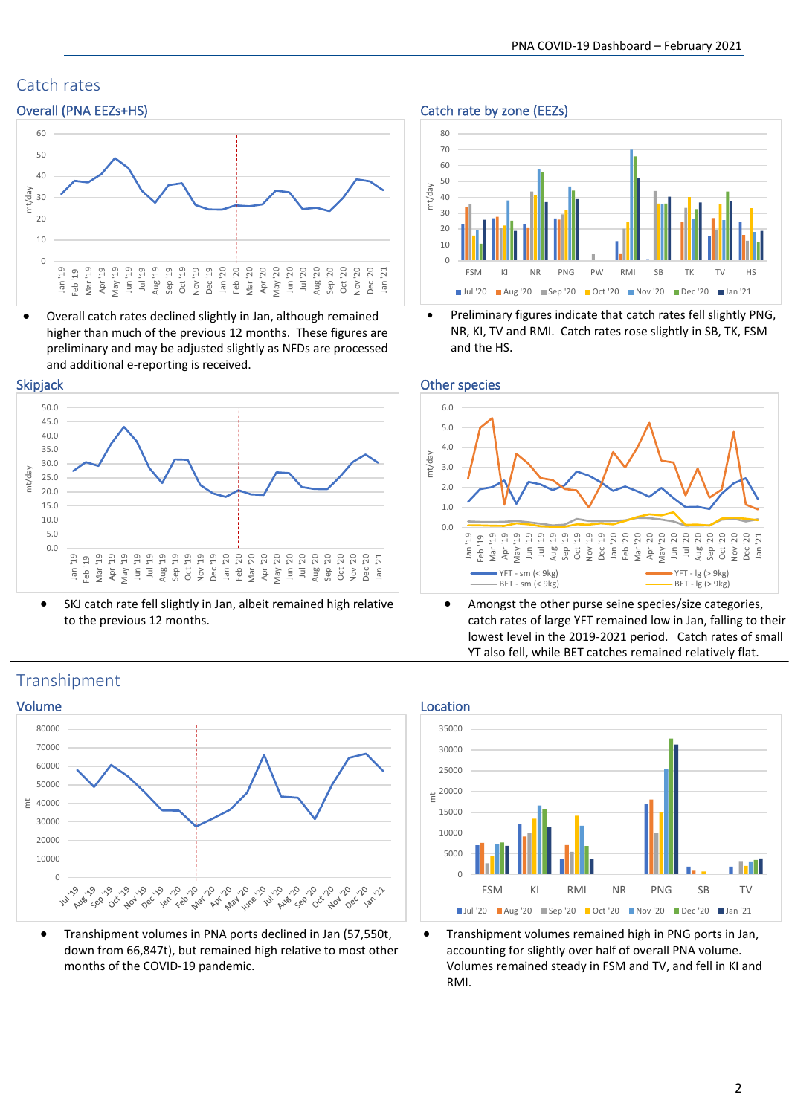# Catch rates



• Overall catch rates declined slightly in Jan, although remained higher than much of the previous 12 months. These figures are preliminary and may be adjusted slightly as NFDs are processed and additional e-reporting is received.



• SKJ catch rate fell slightly in Jan, albeit remained high relative to the previous 12 months.

## Overall (PNA EEZs+HS) Catch rate by zone (EEZs)



• Preliminary figures indicate that catch rates fell slightly PNG, NR, KI, TV and RMI. Catch rates rose slightly in SB, TK, FSM and the HS.





• Amongst the other purse seine species/size categories, catch rates of large YFT remained low in Jan, falling to their lowest level in the 2019-2021 period. Catch rates of small YT also fell, while BET catches remained relatively flat.





• Transhipment volumes remained high in PNG ports in Jan, accounting for slightly over half of overall PNA volume. Volumes remained steady in FSM and TV, and fell in KI and RMI.

## Transhipment



• Transhipment volumes in PNA ports declined in Jan (57,550t, down from 66,847t), but remained high relative to most other months of the COVID-19 pandemic.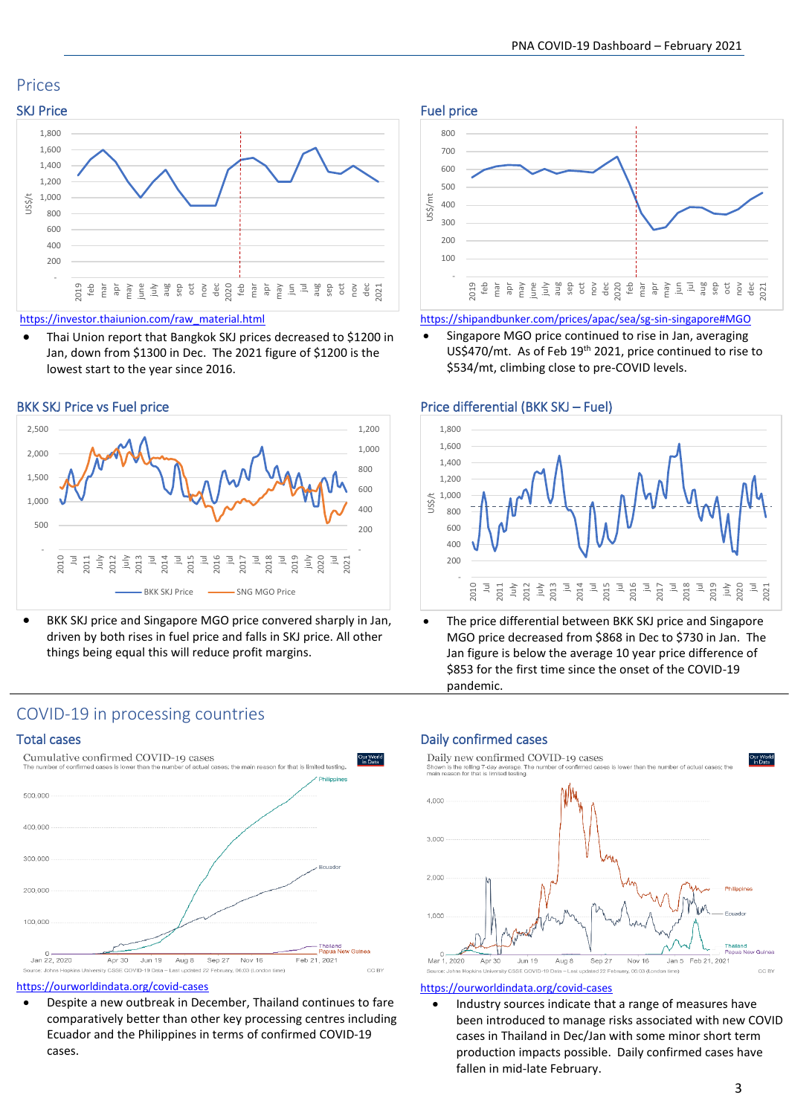## Prices



### [https://investor.thaiunion.com/raw\\_material.html](https://investor.thaiunion.com/raw_material.html)

• Thai Union report that Bangkok SKJ prices decreased to \$1200 in Jan, down from \$1300 in Dec. The 2021 figure of \$1200 is the lowest start to the year since 2016.



• BKK SKJ price and Singapore MGO price convered sharply in Jan, driven by both rises in fuel price and falls in SKJ price. All other things being equal this will reduce profit margins.



### <https://shipandbunker.com/prices/apac/sea/sg-sin-singapore#MGO>

• Singapore MGO price continued to rise in Jan, averaging US\$470/mt. As of Feb 19<sup>th</sup> 2021, price continued to rise to \$534/mt, climbing close to pre-COVID levels.

## BKK SKJ Price vs Fuel price Price Price differential (BKK SKJ – Fuel)



The price differential between BKK SKJ price and Singapore MGO price decreased from \$868 in Dec to \$730 in Jan. The Jan figure is below the average 10 year price difference of \$853 for the first time since the onset of the COVID-19 pandemic.

## COVID-19 in processing countries



### <https://ourworldindata.org/covid-cases>

• Despite a new outbreak in December, Thailand continues to fare comparatively better than other key processing centres including Ecuador and the Philippines in terms of confirmed COVID-19 cases.

## Total cases and the confirmed cases and the confirmed cases are confirmed cases and the confirmed cases are continuous sets and the confirmed cases are continuous sets and the continuous sets are continuous sets and the co



### <https://ourworldindata.org/covid-cases>

• Industry sources indicate that a range of measures have been introduced to manage risks associated with new COVID cases in Thailand in Dec/Jan with some minor short term production impacts possible. Daily confirmed cases have fallen in mid-late February.